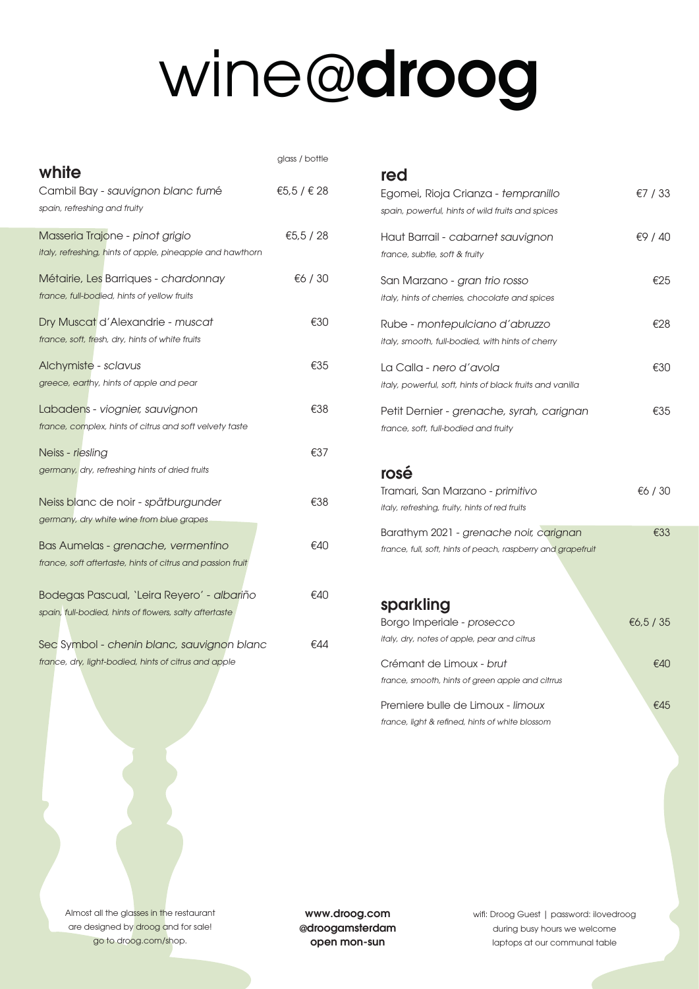# wine@droog

| white                                                      | glass / bottle |
|------------------------------------------------------------|----------------|
| Cambil Bay - sauvignon blanc fumé                          | €5.5 / € 28    |
| spain, refreshing and fruity                               |                |
| Masseria Trajone - pinot grigio                            | €5,5 / 28      |
| italy, refreshing, hints of apple, pineapple and hawthorn  |                |
| Métairie, Les Barriques - chardonnay                       | €6 / 30        |
| france, full-bodied, hints of yellow fruits                |                |
| Dry Muscat d'Alexandrie - muscat                           | €30            |
| france, soft, fresh, dry, hints of white fruits            |                |
| Alchymiste - sclavus                                       | €35            |
| greece, earthy, hints of apple and pear                    |                |
| Labadens - viognier, sauvignon                             | €38            |
| france, complex, hints of citrus and soft velvety taste    |                |
| Neiss - riesling                                           | €37            |
| germany, dry, refreshing hints of dried fruits             |                |
| Neiss blanc de noir - spätburgunder                        | €38            |
| germany, dry white wine from blue grapes                   |                |
| Bas Aumelas - grenache, vermentino                         | €40            |
| france, soft aftertaste, hints of citrus and passion fruit |                |
| Bodegas Pascual, 'Leira Reyero' - albariño                 | €40            |
| spain, full-bodied, hints of flowers, salty aftertaste     |                |
| Sec Symbol - chenin blanc, sauvignon blanc                 | €44            |
| france, dry, light-bodied, hints of citrus and apple       |                |

#### red

| Egomei, Rioja Crianza - tempranillo<br>spain, powerful, hints of wild fruits and spices                 | €7 / 33   |
|---------------------------------------------------------------------------------------------------------|-----------|
| Haut Barrail - cabarnet sauvignon<br>france, subtle, soft & fruity                                      | €9 / 40   |
| San Marzano - gran trio rosso<br>italy, hints of cherries, chocolate and spices                         | €25       |
| Rube - montepulciano d'abruzzo<br>italy, smooth, full-bodied, with hints of cherry                      | €28       |
| La Calla - nero d'avola<br>italy, powerful, soft, hints of black fruits and vanilla                     | €30       |
| Petit Dernier - grenache, syrah, carignan<br>france, soft, full-bodied and fruity                       | €35       |
| rosé                                                                                                    |           |
| Tramari, San Marzano - primitivo<br>italy, refreshing, fruity, hints of red fruits                      | €6 / 30   |
| Barathym 2021 - grenache noir, carignan<br>france, full, soft, hints of peach, raspberry and grapefruit | €33       |
| sparkling                                                                                               |           |
| Borgo Imperiale - prosecco<br>italy, dry, notes of apple, pear and citrus                               | €6,5 / 35 |
| Crémant de Limoux - brut<br>france, smooth, hints of green apple and citrrus                            | €40       |

Premiere bulle de Limoux - limoux et a metal €45 france, light & refned, hints of white blossom

Almost all the glasses in the restaurant are designed by droog and for sale! go to droog.com/shop.

www.droog.com @droogamsterdam open mon-sun

wif: Droog Guest | password: ilovedroog during busy hours we welcome laptops at our communal table